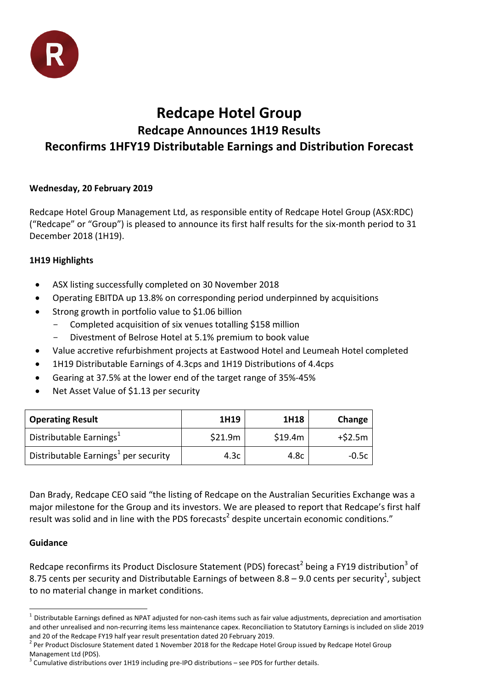

# **Redcape Hotel Group**

## **Redcape Announces 1H19 Results Reconfirms 1HFY19 Distributable Earnings and Distribution Forecast**

### **Wednesday, 20 February 2019**

Redcape Hotel Group Management Ltd, as responsible entity of Redcape Hotel Group (ASX:RDC) ("Redcape" or "Group") is pleased to announce its first half results for the six‐month period to 31 December 2018 (1H19).

### **1H19 Highlights**

- ASX listing successfully completed on 30 November 2018
- Operating EBITDA up 13.8% on corresponding period underpinned by acquisitions
- Strong growth in portfolio value to \$1.06 billion
	- Completed acquisition of six venues totalling \$158 million
	- Divestment of Belrose Hotel at 5.1% premium to book value
- Value accretive refurbishment projects at Eastwood Hotel and Leumeah Hotel completed
- 1H19 Distributable Earnings of 4.3cps and 1H19 Distributions of 4.4cps
- Gearing at 37.5% at the lower end of the target range of 35%‐45%
- Net Asset Value of \$1.13 per security

| <b>Operating Result</b>                          | 1H19    | 1H18    | Change   |
|--------------------------------------------------|---------|---------|----------|
| Distributable Earnings <sup>1</sup>              | \$21.9m | \$19.4m | $+52.5m$ |
| Distributable Earnings <sup>1</sup> per security | 4.3c    | 4.8c    | $-0.5c$  |

Dan Brady, Redcape CEO said "the listing of Redcape on the Australian Securities Exchange was a major milestone for the Group and its investors. We are pleased to report that Redcape's first half result was solid and in line with the PDS forecasts<sup>2</sup> despite uncertain economic conditions."

#### **Guidance**

Redcape reconfirms its Product Disclosure Statement (PDS) forecast<sup>2</sup> being a FY19 distribution<sup>3</sup> of 8.75 cents per security and Distributable Earnings of between 8.8 – 9.0 cents per security<sup>1</sup>, subject to no material change in market conditions.

  $1$  Distributable Earnings defined as NPAT adjusted for non-cash items such as fair value adjustments, depreciation and amortisation and other unrealised and non‐recurring items less maintenance capex. Reconciliation to Statutory Earnings is included on slide 2019

and 20 of the Redcape FY19 half year result presentation dated 20 February 2019.<br><sup>2</sup> Per Product Disclosure Statement dated 1 November 2018 for the Redcape Hotel Group issued by Redcape Hotel Group

Management Ltd (PDS).<br><sup>3</sup> Cumulative distributions over 1H19 including pre-IPO distributions – see PDS for further details.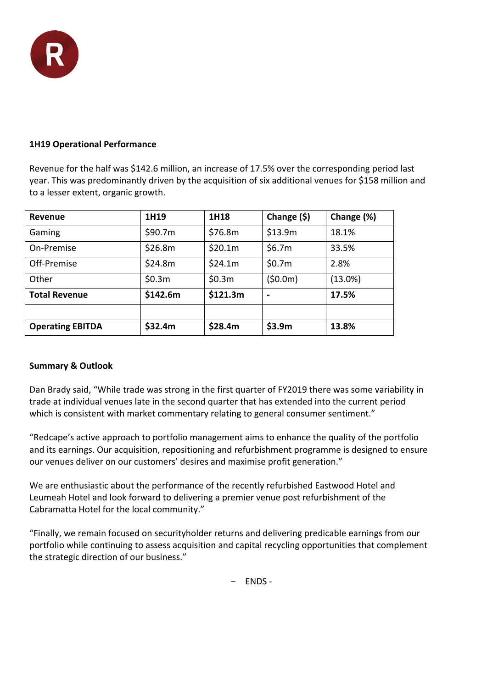

#### **1H19 Operational Performance**

Revenue for the half was \$142.6 million, an increase of 17.5% over the corresponding period last year. This was predominantly driven by the acquisition of six additional venues for \$158 million and to a lesser extent, organic growth.

| Revenue                 | 1H19     | 1H18     | Change $(\$)$ | Change (%) |
|-------------------------|----------|----------|---------------|------------|
| Gaming                  | \$90.7m  | \$76.8m  | \$13.9m       | 18.1%      |
| On-Premise              | \$26.8m  | \$20.1m  | \$6.7m        | 33.5%      |
| Off-Premise             | \$24.8m  | \$24.1m  | \$0.7m        | 2.8%       |
| Other                   | \$0.3m   | \$0.3m   | (50.0m)       | $(13.0\%)$ |
| <b>Total Revenue</b>    | \$142.6m | \$121.3m |               | 17.5%      |
|                         |          |          |               |            |
| <b>Operating EBITDA</b> | \$32.4m  | \$28.4m  | \$3.9m        | 13.8%      |

#### **Summary & Outlook**

Dan Brady said, "While trade was strong in the first quarter of FY2019 there was some variability in trade at individual venues late in the second quarter that has extended into the current period which is consistent with market commentary relating to general consumer sentiment."

"Redcape's active approach to portfolio management aims to enhance the quality of the portfolio and its earnings. Our acquisition, repositioning and refurbishment programme is designed to ensure our venues deliver on our customers' desires and maximise profit generation."

We are enthusiastic about the performance of the recently refurbished Eastwood Hotel and Leumeah Hotel and look forward to delivering a premier venue post refurbishment of the Cabramatta Hotel for the local community."

"Finally, we remain focused on securityholder returns and delivering predicable earnings from our portfolio while continuing to assess acquisition and capital recycling opportunities that complement the strategic direction of our business."

- ENDS ‐